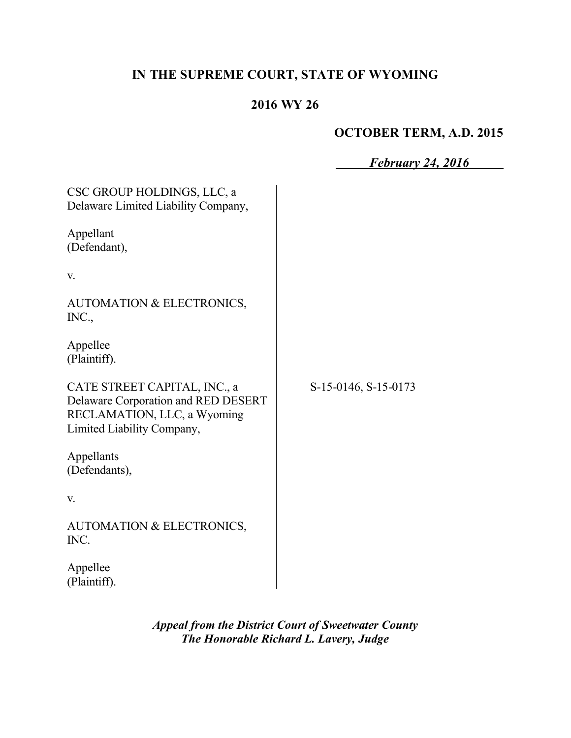# **IN THE SUPREME COURT, STATE OF WYOMING**

# **2016 WY 26**

# **OCTOBER TERM, A.D. 2015**

|                                                                                                                                  | <b>February 24, 2016</b> |
|----------------------------------------------------------------------------------------------------------------------------------|--------------------------|
| CSC GROUP HOLDINGS, LLC, a<br>Delaware Limited Liability Company,                                                                |                          |
| Appellant<br>(Defendant),                                                                                                        |                          |
| V.                                                                                                                               |                          |
| AUTOMATION & ELECTRONICS,<br>INC.,                                                                                               |                          |
| Appellee<br>(Plaintiff).                                                                                                         |                          |
| CATE STREET CAPITAL, INC., a<br>Delaware Corporation and RED DESERT<br>RECLAMATION, LLC, a Wyoming<br>Limited Liability Company, | S-15-0146, S-15-0173     |
| Appellants<br>(Defendants),                                                                                                      |                          |
| V.                                                                                                                               |                          |
| AUTOMATION & ELECTRONICS,<br>INC.                                                                                                |                          |
| Appellee<br>(Plaintiff).                                                                                                         |                          |

*Appeal from the District Court of Sweetwater County The Honorable Richard L. Lavery, Judge*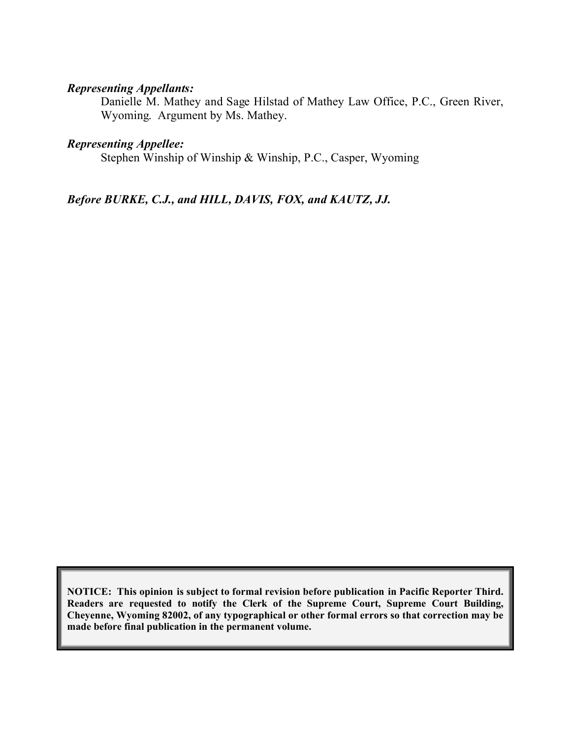# *Representing Appellants:*

Danielle M. Mathey and Sage Hilstad of Mathey Law Office, P.C., Green River, Wyoming. Argument by Ms. Mathey.

#### *Representing Appellee:*

Stephen Winship of Winship & Winship, P.C., Casper, Wyoming

#### *Before BURKE, C.J., and HILL, DAVIS, FOX, and KAUTZ, JJ.*

**NOTICE: This opinion is subject to formal revision before publication in Pacific Reporter Third. Readers are requested to notify the Clerk of the Supreme Court, Supreme Court Building, Cheyenne, Wyoming 82002, of any typographical or other formal errors so that correction may be made before final publication in the permanent volume.**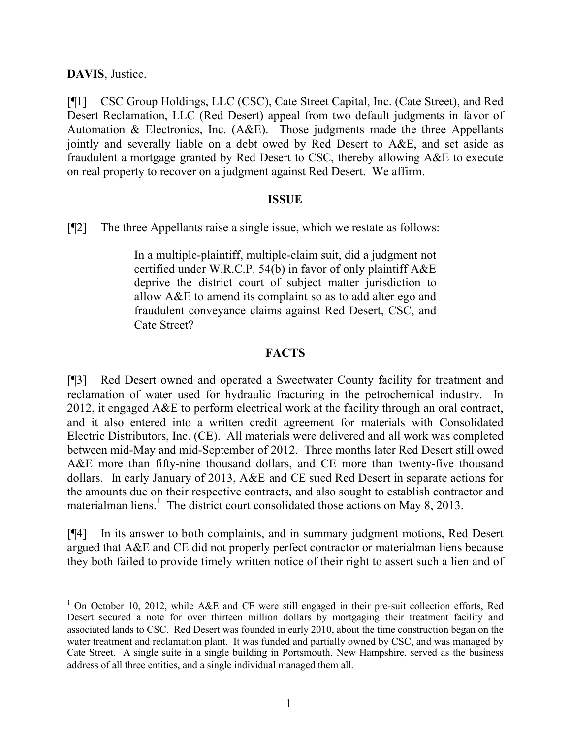**DAVIS**, Justice.

 $\overline{a}$ 

[¶1] CSC Group Holdings, LLC (CSC), Cate Street Capital, Inc. (Cate Street), and Red Desert Reclamation, LLC (Red Desert) appeal from two default judgments in favor of Automation & Electronics, Inc. (A&E). Those judgments made the three Appellants jointly and severally liable on a debt owed by Red Desert to A&E, and set aside as fraudulent a mortgage granted by Red Desert to CSC, thereby allowing A&E to execute on real property to recover on a judgment against Red Desert. We affirm.

#### **ISSUE**

[¶2] The three Appellants raise a single issue, which we restate as follows:

In a multiple-plaintiff, multiple-claim suit, did a judgment not certified under W.R.C.P. 54(b) in favor of only plaintiff A&E deprive the district court of subject matter jurisdiction to allow A&E to amend its complaint so as to add alter ego and fraudulent conveyance claims against Red Desert, CSC, and Cate Street?

### **FACTS**

[¶3] Red Desert owned and operated a Sweetwater County facility for treatment and reclamation of water used for hydraulic fracturing in the petrochemical industry. In 2012, it engaged A&E to perform electrical work at the facility through an oral contract, and it also entered into a written credit agreement for materials with Consolidated Electric Distributors, Inc. (CE). All materials were delivered and all work was completed between mid-May and mid-September of 2012. Three months later Red Desert still owed A&E more than fifty-nine thousand dollars, and CE more than twenty-five thousand dollars. In early January of 2013, A&E and CE sued Red Desert in separate actions for the amounts due on their respective contracts, and also sought to establish contractor and materialman liens.<sup>1</sup> The district court consolidated those actions on May 8, 2013.

[¶4] In its answer to both complaints, and in summary judgment motions, Red Desert argued that A&E and CE did not properly perfect contractor or materialman liens because they both failed to provide timely written notice of their right to assert such a lien and of

<sup>&</sup>lt;sup>1</sup> On October 10, 2012, while A&E and CE were still engaged in their pre-suit collection efforts, Red Desert secured a note for over thirteen million dollars by mortgaging their treatment facility and associated lands to CSC. Red Desert was founded in early 2010, about the time construction began on the water treatment and reclamation plant. It was funded and partially owned by CSC, and was managed by Cate Street. A single suite in a single building in Portsmouth, New Hampshire, served as the business address of all three entities, and a single individual managed them all.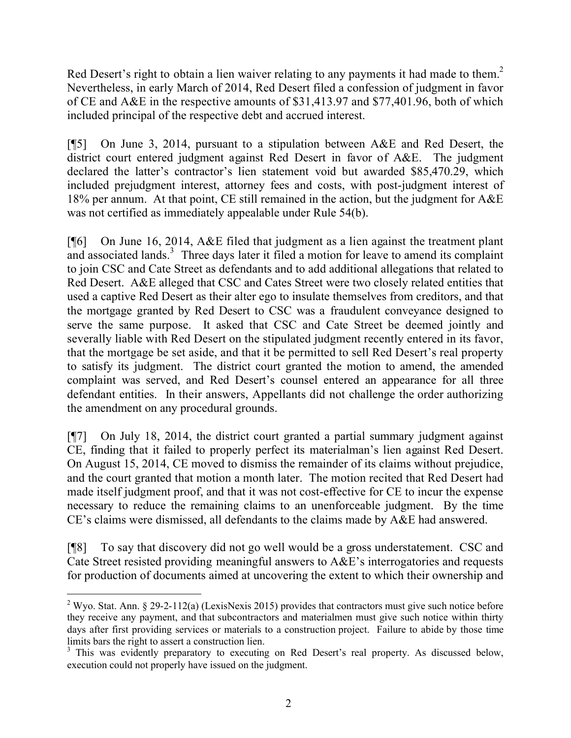Red Desert's right to obtain a lien waiver relating to any payments it had made to them.<sup>2</sup> Nevertheless, in early March of 2014, Red Desert filed a confession of judgment in favor of CE and A&E in the respective amounts of \$31,413.97 and \$77,401.96, both of which included principal of the respective debt and accrued interest.

[¶5] On June 3, 2014, pursuant to a stipulation between A&E and Red Desert, the district court entered judgment against Red Desert in favor of A&E. The judgment declared the latter's contractor's lien statement void but awarded \$85,470.29, which included prejudgment interest, attorney fees and costs, with post-judgment interest of 18% per annum. At that point, CE still remained in the action, but the judgment for A&E was not certified as immediately appealable under Rule 54(b).

[¶6] On June 16, 2014, A&E filed that judgment as a lien against the treatment plant and associated lands.<sup>3</sup> Three days later it filed a motion for leave to amend its complaint to join CSC and Cate Street as defendants and to add additional allegations that related to Red Desert. A&E alleged that CSC and Cates Street were two closely related entities that used a captive Red Desert as their alter ego to insulate themselves from creditors, and that the mortgage granted by Red Desert to CSC was a fraudulent conveyance designed to serve the same purpose. It asked that CSC and Cate Street be deemed jointly and severally liable with Red Desert on the stipulated judgment recently entered in its favor, that the mortgage be set aside, and that it be permitted to sell Red Desert's real property to satisfy its judgment. The district court granted the motion to amend, the amended complaint was served, and Red Desert's counsel entered an appearance for all three defendant entities. In their answers, Appellants did not challenge the order authorizing the amendment on any procedural grounds.

[¶7] On July 18, 2014, the district court granted a partial summary judgment against CE, finding that it failed to properly perfect its materialman's lien against Red Desert. On August 15, 2014, CE moved to dismiss the remainder of its claims without prejudice, and the court granted that motion a month later. The motion recited that Red Desert had made itself judgment proof, and that it was not cost-effective for CE to incur the expense necessary to reduce the remaining claims to an unenforceable judgment. By the time CE's claims were dismissed, all defendants to the claims made by A&E had answered.

[¶8] To say that discovery did not go well would be a gross understatement. CSC and Cate Street resisted providing meaningful answers to A&E's interrogatories and requests for production of documents aimed at uncovering the extent to which their ownership and

 $\overline{a}$ 

<sup>2</sup> Wyo. Stat. Ann. § 29-2-112(a) (LexisNexis 2015) provides that contractors must give such notice before they receive any payment, and that subcontractors and materialmen must give such notice within thirty days after first providing services or materials to a construction project. Failure to abide by those time limits bars the right to assert a construction lien.

<sup>&</sup>lt;sup>3</sup> This was evidently preparatory to executing on Red Desert's real property. As discussed below, execution could not properly have issued on the judgment.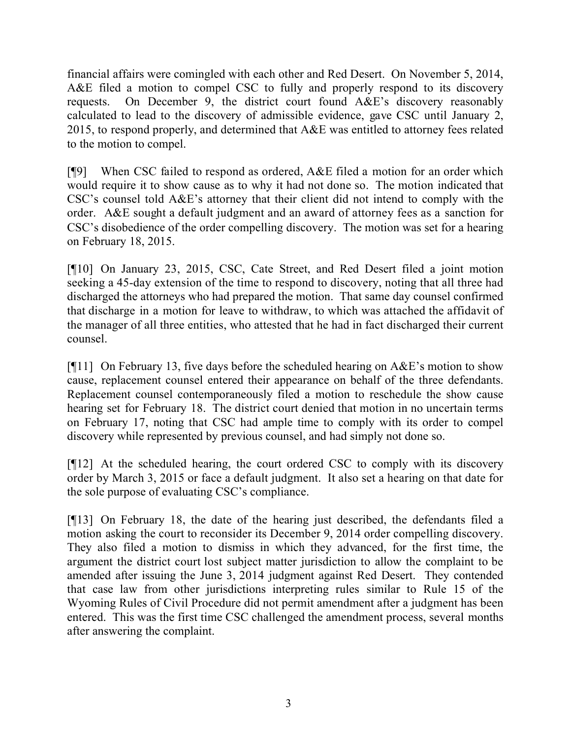financial affairs were comingled with each other and Red Desert. On November 5, 2014, A&E filed a motion to compel CSC to fully and properly respond to its discovery requests. On December 9, the district court found A&E's discovery reasonably calculated to lead to the discovery of admissible evidence, gave CSC until January 2, 2015, to respond properly, and determined that A&E was entitled to attorney fees related to the motion to compel.

[¶9] When CSC failed to respond as ordered, A&E filed a motion for an order which would require it to show cause as to why it had not done so. The motion indicated that CSC's counsel told A&E's attorney that their client did not intend to comply with the order. A&E sought a default judgment and an award of attorney fees as a sanction for CSC's disobedience of the order compelling discovery. The motion was set for a hearing on February 18, 2015.

[¶10] On January 23, 2015, CSC, Cate Street, and Red Desert filed a joint motion seeking a 45-day extension of the time to respond to discovery, noting that all three had discharged the attorneys who had prepared the motion. That same day counsel confirmed that discharge in a motion for leave to withdraw, to which was attached the affidavit of the manager of all three entities, who attested that he had in fact discharged their current counsel.

[ $[$ [11] On February 13, five days before the scheduled hearing on  $A&E$ 's motion to show cause, replacement counsel entered their appearance on behalf of the three defendants. Replacement counsel contemporaneously filed a motion to reschedule the show cause hearing set for February 18. The district court denied that motion in no uncertain terms on February 17, noting that CSC had ample time to comply with its order to compel discovery while represented by previous counsel, and had simply not done so.

[¶12] At the scheduled hearing, the court ordered CSC to comply with its discovery order by March 3, 2015 or face a default judgment. It also set a hearing on that date for the sole purpose of evaluating CSC's compliance.

[¶13] On February 18, the date of the hearing just described, the defendants filed a motion asking the court to reconsider its December 9, 2014 order compelling discovery. They also filed a motion to dismiss in which they advanced, for the first time, the argument the district court lost subject matter jurisdiction to allow the complaint to be amended after issuing the June 3, 2014 judgment against Red Desert. They contended that case law from other jurisdictions interpreting rules similar to Rule 15 of the Wyoming Rules of Civil Procedure did not permit amendment after a judgment has been entered. This was the first time CSC challenged the amendment process, several months after answering the complaint.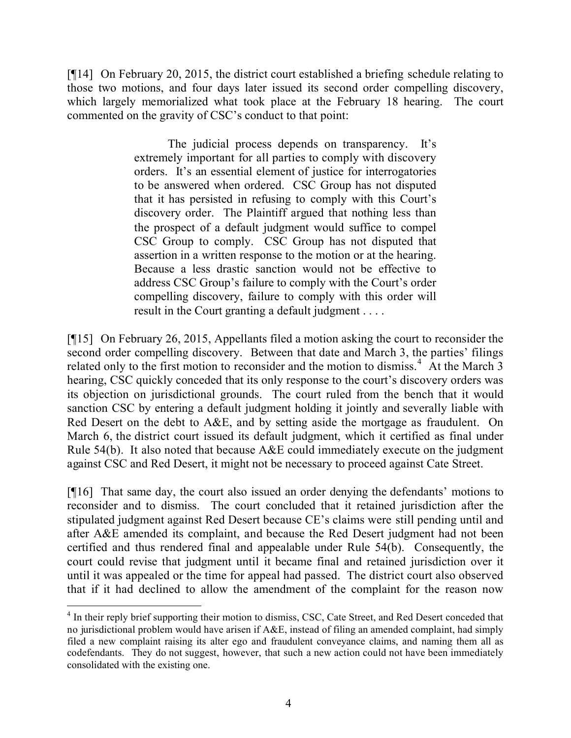[¶14] On February 20, 2015, the district court established a briefing schedule relating to those two motions, and four days later issued its second order compelling discovery, which largely memorialized what took place at the February 18 hearing. The court commented on the gravity of CSC's conduct to that point:

> The judicial process depends on transparency. It's extremely important for all parties to comply with discovery orders. It's an essential element of justice for interrogatories to be answered when ordered. CSC Group has not disputed that it has persisted in refusing to comply with this Court's discovery order. The Plaintiff argued that nothing less than the prospect of a default judgment would suffice to compel CSC Group to comply. CSC Group has not disputed that assertion in a written response to the motion or at the hearing. Because a less drastic sanction would not be effective to address CSC Group's failure to comply with the Court's order compelling discovery, failure to comply with this order will result in the Court granting a default judgment . . . .

[¶15] On February 26, 2015, Appellants filed a motion asking the court to reconsider the second order compelling discovery. Between that date and March 3, the parties' filings related only to the first motion to reconsider and the motion to dismiss.<sup>4</sup> At the March  $\overline{3}$ hearing, CSC quickly conceded that its only response to the court's discovery orders was its objection on jurisdictional grounds. The court ruled from the bench that it would sanction CSC by entering a default judgment holding it jointly and severally liable with Red Desert on the debt to A&E, and by setting aside the mortgage as fraudulent. On March 6, the district court issued its default judgment, which it certified as final under Rule 54(b). It also noted that because  $A \& E$  could immediately execute on the judgment against CSC and Red Desert, it might not be necessary to proceed against Cate Street.

[¶16] That same day, the court also issued an order denying the defendants' motions to reconsider and to dismiss. The court concluded that it retained jurisdiction after the stipulated judgment against Red Desert because CE's claims were still pending until and after A&E amended its complaint, and because the Red Desert judgment had not been certified and thus rendered final and appealable under Rule 54(b). Consequently, the court could revise that judgment until it became final and retained jurisdiction over it until it was appealed or the time for appeal had passed. The district court also observed that if it had declined to allow the amendment of the complaint for the reason now

<sup>&</sup>lt;sup>4</sup> In their reply brief supporting their motion to dismiss, CSC, Cate Street, and Red Desert conceded that no jurisdictional problem would have arisen if A&E, instead of filing an amended complaint, had simply filed a new complaint raising its alter ego and fraudulent conveyance claims, and naming them all as codefendants. They do not suggest, however, that such a new action could not have been immediately consolidated with the existing one.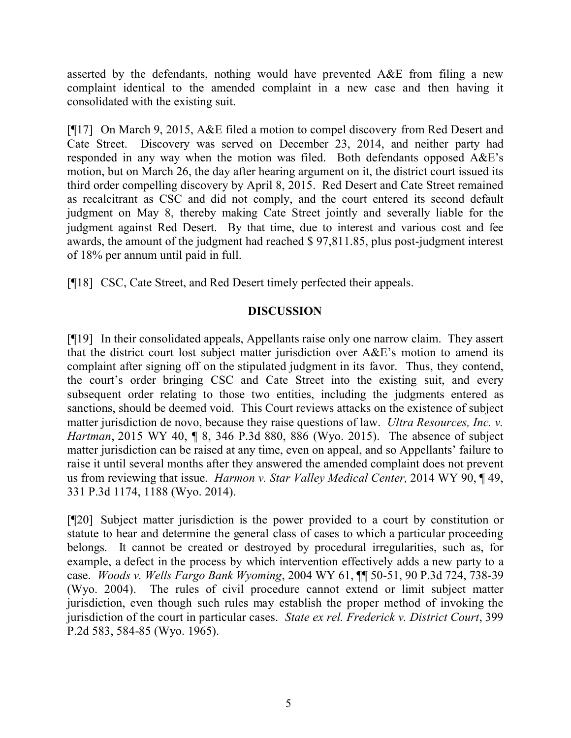asserted by the defendants, nothing would have prevented A&E from filing a new complaint identical to the amended complaint in a new case and then having it consolidated with the existing suit.

[¶17] On March 9, 2015, A&E filed a motion to compel discovery from Red Desert and Cate Street. Discovery was served on December 23, 2014, and neither party had responded in any way when the motion was filed. Both defendants opposed A&E's motion, but on March 26, the day after hearing argument on it, the district court issued its third order compelling discovery by April 8, 2015. Red Desert and Cate Street remained as recalcitrant as CSC and did not comply, and the court entered its second default judgment on May 8, thereby making Cate Street jointly and severally liable for the judgment against Red Desert. By that time, due to interest and various cost and fee awards, the amount of the judgment had reached \$ 97,811.85, plus post-judgment interest of 18% per annum until paid in full.

[¶18] CSC, Cate Street, and Red Desert timely perfected their appeals.

# **DISCUSSION**

[¶19] In their consolidated appeals, Appellants raise only one narrow claim. They assert that the district court lost subject matter jurisdiction over A&E's motion to amend its complaint after signing off on the stipulated judgment in its favor. Thus, they contend, the court's order bringing CSC and Cate Street into the existing suit, and every subsequent order relating to those two entities, including the judgments entered as sanctions, should be deemed void. This Court reviews attacks on the existence of subject matter jurisdiction de novo, because they raise questions of law. *Ultra Resources, Inc. v. Hartman*, 2015 WY 40, ¶ 8, 346 P.3d 880, 886 (Wyo. 2015). The absence of subject matter jurisdiction can be raised at any time, even on appeal, and so Appellants' failure to raise it until several months after they answered the amended complaint does not prevent us from reviewing that issue. *Harmon v. Star Valley Medical Center,* 2014 WY 90, ¶ 49, 331 P.3d 1174, 1188 (Wyo. 2014).

[¶20] Subject matter jurisdiction is the power provided to a court by constitution or statute to hear and determine the general class of cases to which a particular proceeding belongs. It cannot be created or destroyed by procedural irregularities, such as, for example, a defect in the process by which intervention effectively adds a new party to a case. *Woods v. Wells Fargo Bank Wyoming*, 2004 WY 61, ¶¶ 50-51, 90 P.3d 724, 738-39 (Wyo. 2004). The rules of civil procedure cannot extend or limit subject matter jurisdiction, even though such rules may establish the proper method of invoking the jurisdiction of the court in particular cases. *State ex rel. Frederick v. District Court*, 399 P.2d 583, 584-85 (Wyo. 1965).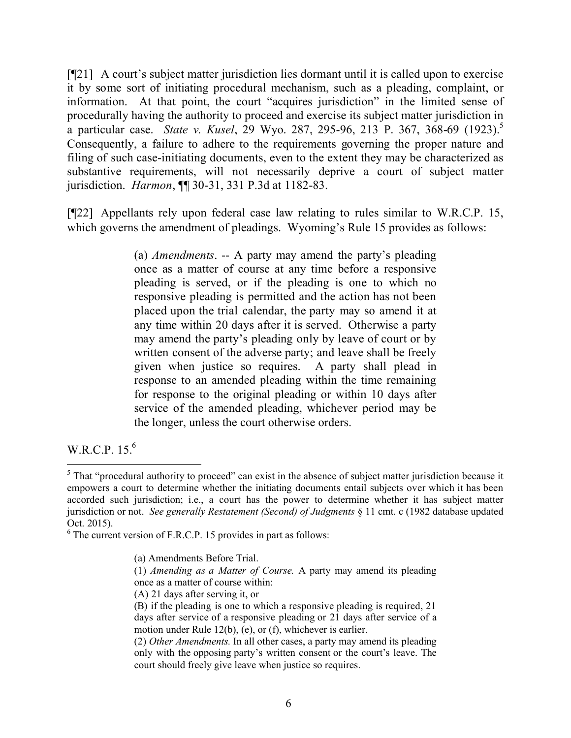[¶21] A court's subject matter jurisdiction lies dormant until it is called upon to exercise it by some sort of initiating procedural mechanism, such as a pleading, complaint, or information. At that point, the court "acquires jurisdiction" in the limited sense of procedurally having the authority to proceed and exercise its subject matter jurisdiction in a particular case. *State v. Kusel*, 29 Wyo. 287, 295-96, 213 P. 367, 368-69 (1923).<sup>5</sup> Consequently, a failure to adhere to the requirements governing the proper nature and filing of such case-initiating documents, even to the extent they may be characterized as substantive requirements, will not necessarily deprive a court of subject matter jurisdiction. *Harmon*, ¶¶ 30-31, 331 P.3d at 1182-83.

[¶22] Appellants rely upon federal case law relating to rules similar to W.R.C.P. 15, which governs the amendment of pleadings. Wyoming's Rule 15 provides as follows:

> (a) *Amendments*. -- A party may amend the party's pleading once as a matter of course at any time before a responsive pleading is served, or if the pleading is one to which no responsive pleading is permitted and the action has not been placed upon the trial calendar, the party may so amend it at any time within 20 days after it is served. Otherwise a party may amend the party's pleading only by leave of court or by written consent of the adverse party; and leave shall be freely given when justice so requires. A party shall plead in response to an amended pleading within the time remaining for response to the original pleading or within 10 days after service of the amended pleading, whichever period may be the longer, unless the court otherwise orders.

W.R.C.P. 15.<sup>6</sup>

 $\overline{a}$ 

<sup>&</sup>lt;sup>5</sup> That "procedural authority to proceed" can exist in the absence of subject matter jurisdiction because it empowers a court to determine whether the initiating documents entail subjects over which it has been accorded such jurisdiction; i.e., a court has the power to determine whether it has subject matter jurisdiction or not. *See generally Restatement (Second) of Judgments* § 11 cmt. c (1982 database updated Oct. 2015).

 $6$  The current version of F.R.C.P. 15 provides in part as follows:

<sup>(</sup>a) Amendments Before Trial.

<sup>(1)</sup> *Amending as a Matter of Course.* A party may amend its pleading once as a matter of course within:

<sup>(</sup>A) 21 days after serving it, or

<sup>(</sup>B) if the pleading is one to which a responsive pleading is required, 21 days after service of a responsive pleading or 21 days after service of a motion under Rule 12(b), (e), or (f), whichever is earlier.

<sup>(2)</sup> *Other Amendments.* In all other cases, a party may amend its pleading only with the opposing party's written consent or the court's leave. The court should freely give leave when justice so requires.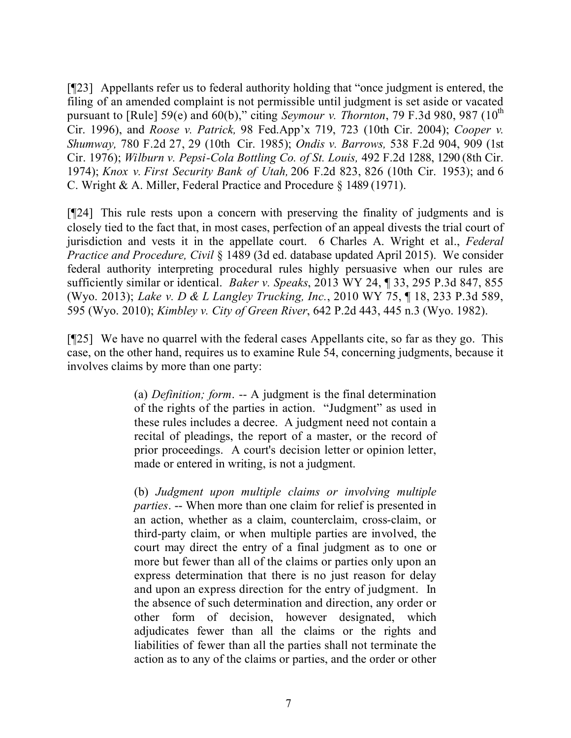[¶23] Appellants refer us to federal authority holding that "once judgment is entered, the filing of an amended complaint is not permissible until judgment is set aside or vacated pursuant to [Rule] 59(e) and 60(b)," citing *Seymour v. Thornton*, 79 F.3d 980, 987 ( $10^{th}$ ) Cir. 1996), and *Roose v. Patrick,* 98 Fed.App'x 719, 723 (10th Cir. 2004); *Cooper v. Shumway,* 780 F.2d 27, 29 (10th Cir. 1985); *Ondis v. Barrows,* 538 F.2d 904, 909 (1st Cir. 1976); *Wilburn v. Pepsi-Cola Bottling Co. of St. Louis,* 492 F.2d 1288, 1290 (8th Cir. 1974); *Knox v. First Security Bank of Utah,* 206 F.2d 823, 826 (10th Cir. 1953); and 6 C. Wright & A. Miller, Federal Practice and Procedure § 1489 (1971).

[¶24] This rule rests upon a concern with preserving the finality of judgments and is closely tied to the fact that, in most cases, perfection of an appeal divests the trial court of jurisdiction and vests it in the appellate court. 6 Charles A. Wright et al., *Federal Practice and Procedure, Civil* § 1489 (3d ed. database updated April 2015). We consider federal authority interpreting procedural rules highly persuasive when our rules are sufficiently similar or identical. *Baker v. Speaks*, 2013 WY 24, ¶ 33, 295 P.3d 847, 855 (Wyo. 2013); *Lake v. D & L Langley Trucking, Inc.*, 2010 WY 75, ¶ 18, 233 P.3d 589, 595 (Wyo. 2010); *Kimbley v. City of Green River*, 642 P.2d 443, 445 n.3 (Wyo. 1982).

[¶25] We have no quarrel with the federal cases Appellants cite, so far as they go. This case, on the other hand, requires us to examine Rule 54, concerning judgments, because it involves claims by more than one party:

> (a) *Definition; form*. -- A judgment is the final determination of the rights of the parties in action. "Judgment" as used in these rules includes a decree. A judgment need not contain a recital of pleadings, the report of a master, or the record of prior proceedings. A court's decision letter or opinion letter, made or entered in writing, is not a judgment.

> (b) *Judgment upon multiple claims or involving multiple parties*. -- When more than one claim for relief is presented in an action, whether as a claim, counterclaim, cross-claim, or third-party claim, or when multiple parties are involved, the court may direct the entry of a final judgment as to one or more but fewer than all of the claims or parties only upon an express determination that there is no just reason for delay and upon an express direction for the entry of judgment. In the absence of such determination and direction, any order or other form of decision, however designated, which adjudicates fewer than all the claims or the rights and liabilities of fewer than all the parties shall not terminate the action as to any of the claims or parties, and the order or other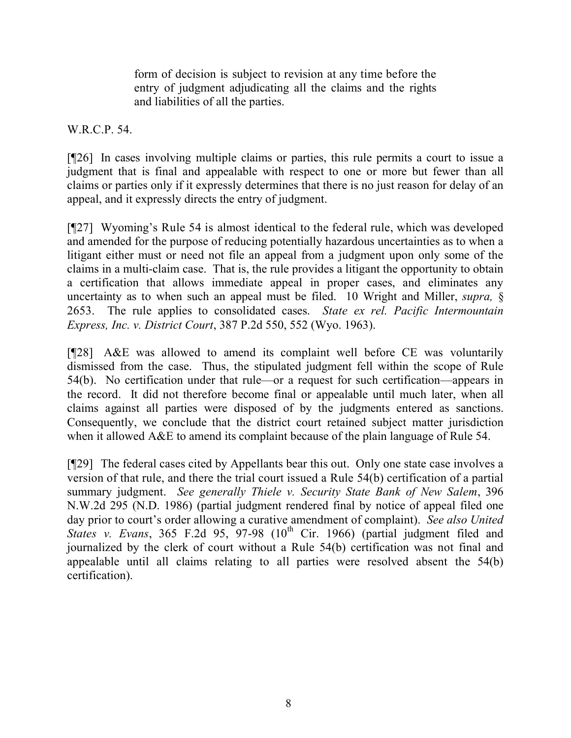form of decision is subject to revision at any time before the entry of judgment adjudicating all the claims and the rights and liabilities of all the parties.

W.R.C.P. 54.

[¶26] In cases involving multiple claims or parties, this rule permits a court to issue a judgment that is final and appealable with respect to one or more but fewer than all claims or parties only if it expressly determines that there is no just reason for delay of an appeal, and it expressly directs the entry of judgment.

[¶27] Wyoming's Rule 54 is almost identical to the federal rule, which was developed and amended for the purpose of reducing potentially hazardous uncertainties as to when a litigant either must or need not file an appeal from a judgment upon only some of the claims in a multi-claim case. That is, the rule provides a litigant the opportunity to obtain a certification that allows immediate appeal in proper cases, and eliminates any uncertainty as to when such an appeal must be filed. 10 Wright and Miller, *supra,* § 2653. The rule applies to consolidated cases. *State ex rel. Pacific Intermountain Express, Inc. v. District Court*, 387 P.2d 550, 552 (Wyo. 1963).

[¶28] A&E was allowed to amend its complaint well before CE was voluntarily dismissed from the case. Thus, the stipulated judgment fell within the scope of Rule 54(b). No certification under that rule—or a request for such certification—appears in the record. It did not therefore become final or appealable until much later, when all claims against all parties were disposed of by the judgments entered as sanctions. Consequently, we conclude that the district court retained subject matter jurisdiction when it allowed A&E to amend its complaint because of the plain language of Rule 54.

[¶29] The federal cases cited by Appellants bear this out. Only one state case involves a version of that rule, and there the trial court issued a Rule 54(b) certification of a partial summary judgment. *See generally Thiele v. Security State Bank of New Salem*, 396 N.W.2d 295 (N.D. 1986) (partial judgment rendered final by notice of appeal filed one day prior to court's order allowing a curative amendment of complaint). *See also United States v. Evans*, 365 F.2d 95, 97-98  $(10^{th}$  Cir. 1966) (partial judgment filed and journalized by the clerk of court without a Rule 54(b) certification was not final and appealable until all claims relating to all parties were resolved absent the 54(b) certification).